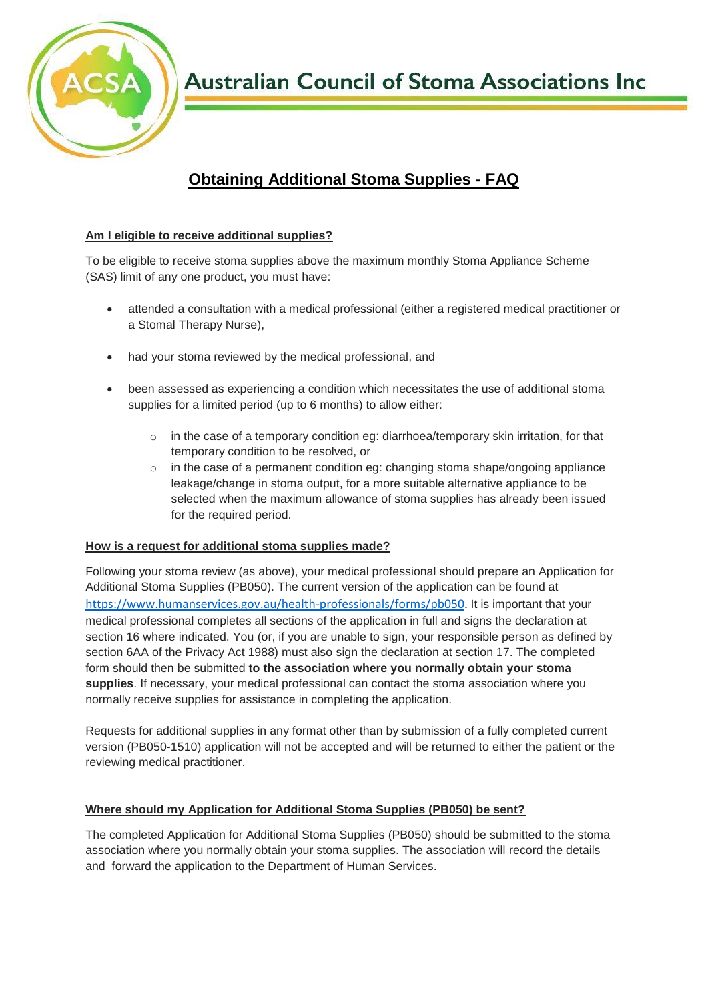

**Australian Council of Stoma Associations Inc** 

# **Obtaining Additional Stoma Supplies - FAQ**

## **Am I eligible to receive additional supplies?**

To be eligible to receive stoma supplies above the maximum monthly Stoma Appliance Scheme (SAS) limit of any one product, you must have:

- attended a consultation with a medical professional (either a registered medical practitioner or a Stomal Therapy Nurse),
- had your stoma reviewed by the medical professional, and
- been assessed as experiencing a condition which necessitates the use of additional stoma supplies for a limited period (up to 6 months) to allow either:
	- in the case of a temporary condition eg: diarrhoea/temporary skin irritation, for that temporary condition to be resolved, or
	- $\circ$  in the case of a permanent condition eg: changing stoma shape/ongoing appliance leakage/change in stoma output, for a more suitable alternative appliance to be selected when the maximum allowance of stoma supplies has already been issued for the required period.

## **How is a request for additional stoma supplies made?**

Following your stoma review (as above), your medical professional should prepare an Application for Additional Stoma Supplies (PB050). The current version of the application can be found at [https://www.humanservices.gov.au/health-professionals/forms/pb050.](https://www.humanservices.gov.au/health-professionals/forms/pb050) It is important that your medical professional completes all sections of the application in full and signs the declaration at section 16 where indicated. You (or, if you are unable to sign, your responsible person as defined by section 6AA of the Privacy Act 1988) must also sign the declaration at section 17. The completed form should then be submitted **to the association where you normally obtain your stoma supplies**. If necessary, your medical professional can contact the stoma association where you normally receive supplies for assistance in completing the application.

Requests for additional supplies in any format other than by submission of a fully completed current version (PB050-1510) application will not be accepted and will be returned to either the patient or the reviewing medical practitioner.

## **Where should my Application for Additional Stoma Supplies (PB050) be sent?**

The completed Application for Additional Stoma Supplies (PB050) should be submitted to the stoma association where you normally obtain your stoma supplies. The association will record the details and forward the application to the Department of Human Services.